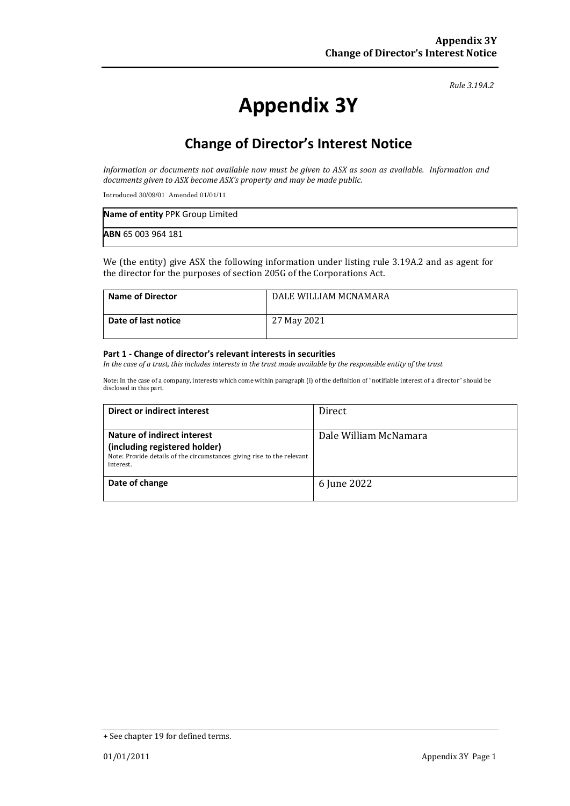*Rule 3.19A.2*

# **Appendix 3Y**

## **Change of Director's Interest Notice**

*Information or documents not available now must be given to ASX as soon as available. Information and documents given to ASX become ASX's property and may be made public.*

Introduced 30/09/01 Amended 01/01/11

| Name of entity PPK Group Limited |  |
|----------------------------------|--|
| <b>ABN 65 003 964 181</b>        |  |

We (the entity) give ASX the following information under listing rule 3.19A.2 and as agent for the director for the purposes of section 205G of the Corporations Act.

| <b>Name of Director</b> | DALE WILLIAM MCNAMARA |
|-------------------------|-----------------------|
| Date of last notice     | 27 May 2021           |

#### **Part 1 - Change of director's relevant interests in securities**

*In the case of a trust, this includes interests in the trust made available by the responsible entity of the trust*

Note: In the case of a company, interests which come within paragraph (i) of the definition of "notifiable interest of a director" should be disclosed in this part.

| Direct or indirect interest                                                                                                                         | Direct                |
|-----------------------------------------------------------------------------------------------------------------------------------------------------|-----------------------|
| Nature of indirect interest<br>(including registered holder)<br>Note: Provide details of the circumstances giving rise to the relevant<br>interest. | Dale William McNamara |
| Date of change                                                                                                                                      | 6 June 2022           |

<sup>+</sup> See chapter 19 for defined terms.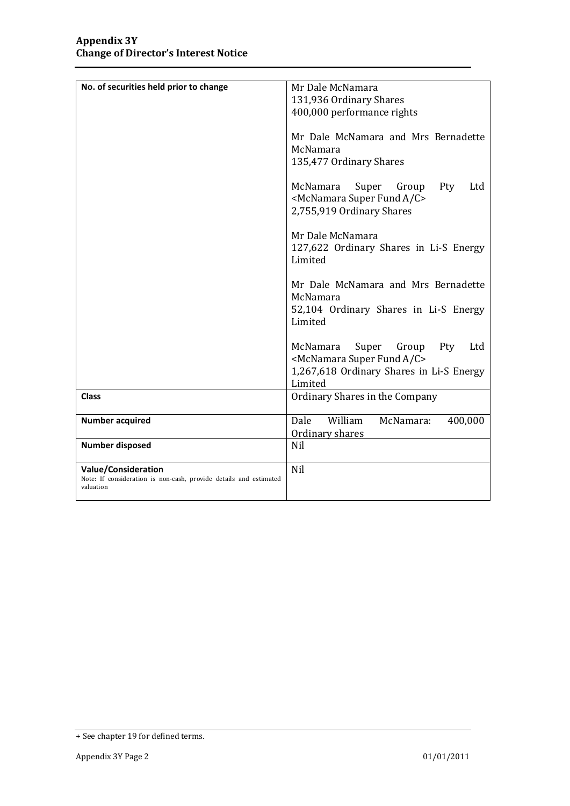| No. of securities held prior to change                            | Mr Dale McNamara                                 |
|-------------------------------------------------------------------|--------------------------------------------------|
|                                                                   | 131,936 Ordinary Shares                          |
|                                                                   | 400,000 performance rights                       |
|                                                                   |                                                  |
|                                                                   | Mr Dale McNamara and Mrs Bernadette              |
|                                                                   | McNamara                                         |
|                                                                   |                                                  |
|                                                                   | 135,477 Ordinary Shares                          |
|                                                                   |                                                  |
|                                                                   | McNamara<br>Super<br>Group<br>Pty<br>Ltd         |
|                                                                   | <mcnamara a="" c="" fund="" super=""></mcnamara> |
|                                                                   | 2,755,919 Ordinary Shares                        |
|                                                                   |                                                  |
|                                                                   | Mr Dale McNamara                                 |
|                                                                   | 127,622 Ordinary Shares in Li-S Energy           |
|                                                                   | Limited                                          |
|                                                                   |                                                  |
|                                                                   | Mr Dale McNamara and Mrs Bernadette              |
|                                                                   | McNamara                                         |
|                                                                   |                                                  |
|                                                                   | 52,104 Ordinary Shares in Li-S Energy            |
|                                                                   | Limited                                          |
|                                                                   |                                                  |
|                                                                   | McNamara<br>Super<br>Group<br>Ltd<br>Pty         |
|                                                                   | <mcnamara a="" c="" fund="" super=""></mcnamara> |
|                                                                   | 1,267,618 Ordinary Shares in Li-S Energy         |
|                                                                   | Limited                                          |
| <b>Class</b>                                                      | Ordinary Shares in the Company                   |
|                                                                   |                                                  |
| <b>Number acquired</b>                                            | William<br>McNamara:<br>400,000<br>Dale          |
|                                                                   | Ordinary shares                                  |
| <b>Number disposed</b>                                            | <b>Nil</b>                                       |
|                                                                   |                                                  |
| Value/Consideration                                               | Nil                                              |
| Note: If consideration is non-cash, provide details and estimated |                                                  |
| valuation                                                         |                                                  |
|                                                                   |                                                  |

<sup>+</sup> See chapter 19 for defined terms.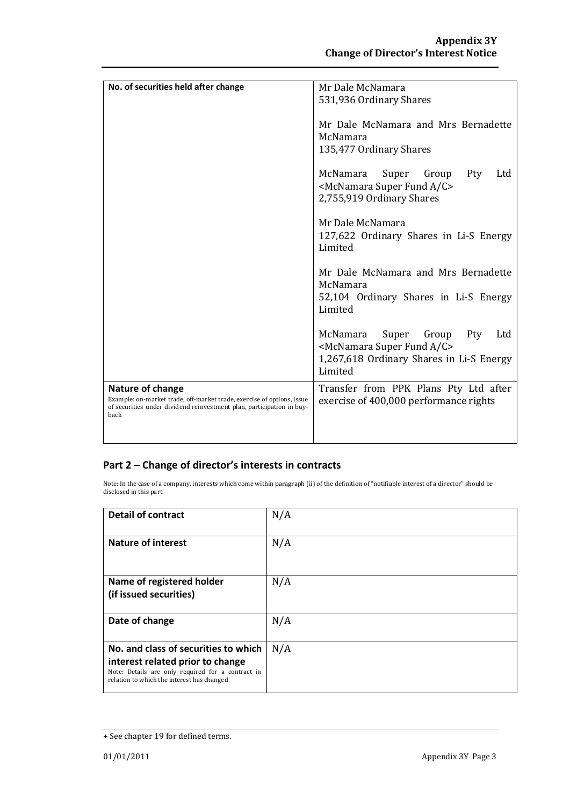| No. of securities held after change                                    | Mr Dale McNamara                                 |
|------------------------------------------------------------------------|--------------------------------------------------|
|                                                                        | 531,936 Ordinary Shares                          |
|                                                                        |                                                  |
|                                                                        |                                                  |
|                                                                        | Mr Dale McNamara and Mrs Bernadette              |
|                                                                        | McNamara                                         |
|                                                                        | 135,477 Ordinary Shares                          |
|                                                                        |                                                  |
|                                                                        |                                                  |
|                                                                        | McNamara<br>Super<br>Group<br><b>Pty</b><br>Ltd  |
|                                                                        | <mcnamara a="" c="" fund="" super=""></mcnamara> |
|                                                                        | 2,755,919 Ordinary Shares                        |
|                                                                        |                                                  |
|                                                                        | Mr Dale McNamara                                 |
|                                                                        |                                                  |
|                                                                        | 127,622 Ordinary Shares in Li-S Energy           |
|                                                                        | Limited                                          |
|                                                                        |                                                  |
|                                                                        | Mr Dale McNamara and Mrs Bernadette              |
|                                                                        | McNamara                                         |
|                                                                        | 52,104 Ordinary Shares in Li-S Energy            |
|                                                                        |                                                  |
|                                                                        | Limited                                          |
|                                                                        |                                                  |
|                                                                        | McNamara<br>Super<br>Group<br>Pty<br>Ltd         |
|                                                                        | <mcnamara a="" c="" fund="" super=""></mcnamara> |
|                                                                        | 1,267,618 Ordinary Shares in Li-S Energy         |
|                                                                        |                                                  |
|                                                                        | Limited                                          |
| Nature of change                                                       | Transfer from PPK Plans Pty Ltd after            |
| Example: on-market trade, off-market trade, exercise of options, issue | exercise of 400,000 performance rights           |
| of securities under dividend reinvestment plan, participation in buy-  |                                                  |
| back                                                                   |                                                  |
|                                                                        |                                                  |
|                                                                        |                                                  |

### **Part 2 – Change of director's interests in contracts**

Note: In the case of a company, interests which come within paragraph (ii) of the definition of "notifiable interest of a director" should be disclosed in this part.

| <b>Detail of contract</b>                                                                                                                                                   | N/A |
|-----------------------------------------------------------------------------------------------------------------------------------------------------------------------------|-----|
| <b>Nature of interest</b>                                                                                                                                                   | N/A |
| Name of registered holder<br>(if issued securities)                                                                                                                         | N/A |
| Date of change                                                                                                                                                              | N/A |
| No. and class of securities to which<br>interest related prior to change<br>Note: Details are only required for a contract in<br>relation to which the interest has changed | N/A |

<sup>+</sup> See chapter 19 for defined terms.